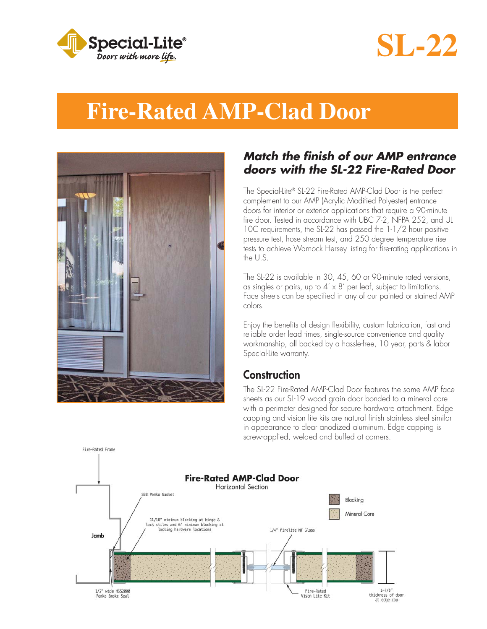

# **SL-22**

## **Fire-Rated AMP-Clad Door**



Fire-Rated Frame

#### *Match the fi nish of our AMP entrance doors with the SL-22 Fire-Rated Door*

The Special-Lite® SL-22 Fire-Rated AMP-Clad Door is the perfect complement to our AMP (Acrylic Modified Polyester) entrance doors for interior or exterior applications that require a 90-minute fire door. Tested in accordance with UBC 7-2, NFPA 252, and UL 10C requirements, the SL-22 has passed the 1-1/2 hour positive pressure test, hose stream test, and 250 degree temperature rise tests to achieve Warnock Hersey listing for fire-rating applications in the U.S.

The SL-22 is available in 30, 45, 60 or 90-minute rated versions, as singles or pairs, up to  $4' \times 8'$  per leaf, subject to limitations. Face sheets can be specified in any of our painted or stained AMP colors.

Enjoy the benefits of design flexibility, custom fabrication, fast and reliable order lead times, single-source convenience and quality workmanship, all backed by a hassle-free, 10 year, parts & labor Special-Lite warranty.

#### **Construction**

The SL-22 Fire-Rated AMP-Clad Door features the same AMP face sheets as our SL-19 wood grain door bonded to a mineral core with a perimeter designed for secure hardware attachment. Edge capping and vision lite kits are natural finish stainless steel similar in appearance to clear anodized aluminum. Edge capping is screw-applied, welded and buffed at corners.